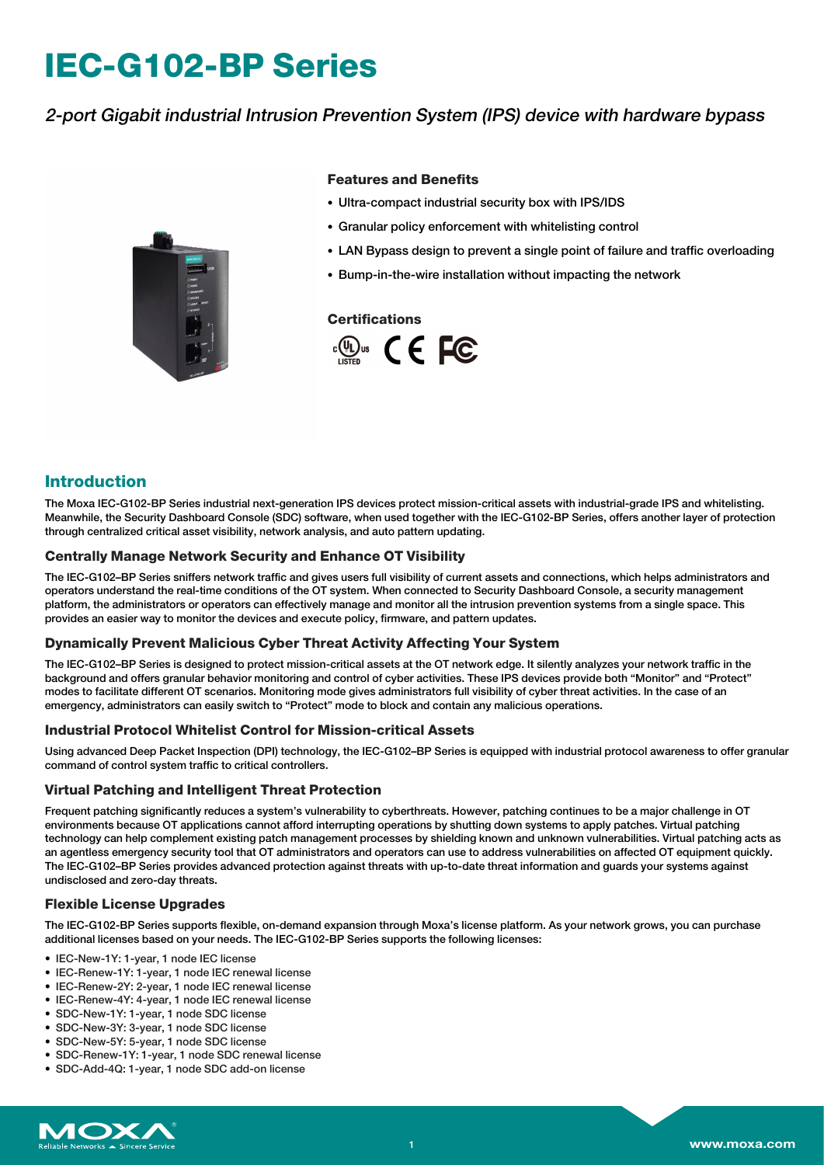# **IEC-G102-BP Series**

# 2-port Gigabit industrial Intrusion Prevention System (IPS) device with hardware bypass



#### **Features and Benefits**

- Ultra-compact industrial security box with IPS/IDS
- Granular policy enforcement with whitelisting control
- LAN Bypass design to prevent a single point of failure and traffic overloading
- Bump-in-the-wire installation without impacting the network

#### **Certifications**



### **Introduction**

The Moxa IEC-G102-BP Series industrial next-generation IPS devices protect mission-critical assets with industrial-grade IPS and whitelisting. Meanwhile, the Security Dashboard Console (SDC) software, when used together with the IEC-G102-BP Series, offers another layer of protection through centralized critical asset visibility, network analysis, and auto pattern updating.

#### **Centrally Manage Network Security and Enhance OT Visibility**

The IEC-G102–BP Series sniffers network traffic and gives users full visibility of current assets and connections, which helps administrators and operators understand the real-time conditions of the OT system. When connected to Security Dashboard Console, a security management platform, the administrators or operators can effectively manage and monitor all the intrusion prevention systems from a single space. This provides an easier way to monitor the devices and execute policy, firmware, and pattern updates.

#### **Dynamically Prevent Malicious Cyber Threat Activity Affecting Your System**

The IEC-G102–BP Series is designed to protect mission-critical assets at the OT network edge. It silently analyzes your network traffic in the background and offers granular behavior monitoring and control of cyber activities. These IPS devices provide both "Monitor" and "Protect" modes to facilitate different OT scenarios. Monitoring mode gives administrators full visibility of cyber threat activities. In the case of an emergency, administrators can easily switch to "Protect" mode to block and contain any malicious operations.

#### **Industrial Protocol Whitelist Control for Mission-critical Assets**

Using advanced Deep Packet Inspection (DPI) technology, the IEC-G102–BP Series is equipped with industrial protocol awareness to offer granular command of control system traffic to critical controllers.

#### **Virtual Patching and Intelligent Threat Protection**

Frequent patching significantly reduces a system's vulnerability to cyberthreats. However, patching continues to be a major challenge in OT environments because OT applications cannot afford interrupting operations by shutting down systems to apply patches. Virtual patching technology can help complement existing patch management processes by shielding known and unknown vulnerabilities. Virtual patching acts as an agentless emergency security tool that OT administrators and operators can use to address vulnerabilities on affected OT equipment quickly. The IEC-G102–BP Series provides advanced protection against threats with up-to-date threat information and guards your systems against undisclosed and zero-day threats.

#### **Flexible License Upgrades**

The IEC-G102-BP Series supports flexible, on-demand expansion through Moxa's license platform. As your network grows, you can purchase additional licenses based on your needs. The IEC-G102-BP Series supports the following licenses:

- IEC-New-1Y: 1-year, 1 node IEC license
- IEC-Renew-1Y: 1-year, 1 node IEC renewal license
- IEC-Renew-2Y: 2-year, 1 node IEC renewal license
- IEC-Renew-4Y: 4-year, 1 node IEC renewal license
- SDC-New-1Y: 1-year, 1 node SDC license
- SDC-New-3Y: 3-year, 1 node SDC license
- SDC-New-5Y: 5-year, 1 node SDC license
- SDC-Renew-1Y: 1-year, 1 node SDC renewal license
- SDC-Add-4Q: 1-year, 1 node SDC add-on license

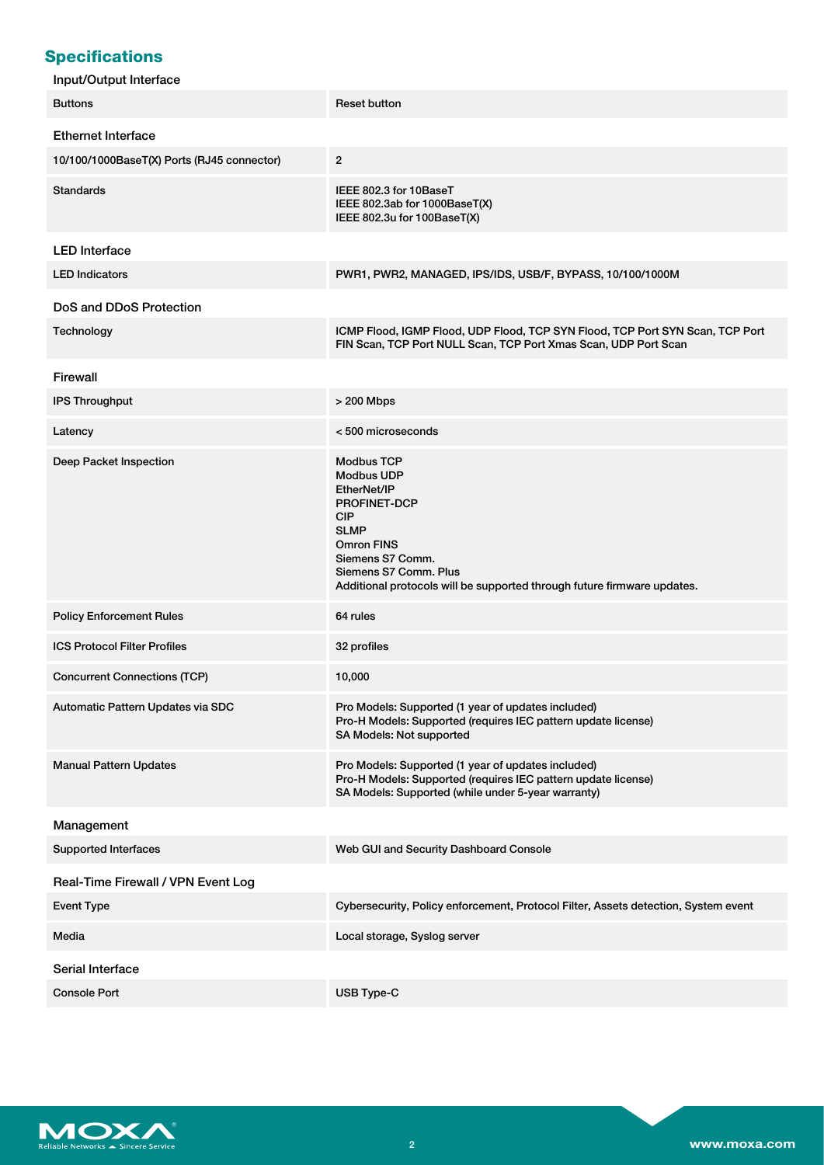# **Specifications**

| Input/Output Interface                     |                                                                                                                                                                                                                                                        |  |  |
|--------------------------------------------|--------------------------------------------------------------------------------------------------------------------------------------------------------------------------------------------------------------------------------------------------------|--|--|
| <b>Buttons</b>                             | <b>Reset button</b>                                                                                                                                                                                                                                    |  |  |
| <b>Ethernet Interface</b>                  |                                                                                                                                                                                                                                                        |  |  |
| 10/100/1000BaseT(X) Ports (RJ45 connector) | $\overline{2}$                                                                                                                                                                                                                                         |  |  |
| <b>Standards</b>                           | IEEE 802.3 for 10BaseT<br>IEEE 802.3ab for 1000BaseT(X)<br>IEEE 802.3u for 100BaseT(X)                                                                                                                                                                 |  |  |
| <b>LED</b> Interface                       |                                                                                                                                                                                                                                                        |  |  |
| <b>LED Indicators</b>                      | PWR1, PWR2, MANAGED, IPS/IDS, USB/F, BYPASS, 10/100/1000M                                                                                                                                                                                              |  |  |
| DoS and DDoS Protection                    |                                                                                                                                                                                                                                                        |  |  |
| Technology                                 | ICMP Flood, IGMP Flood, UDP Flood, TCP SYN Flood, TCP Port SYN Scan, TCP Port<br>FIN Scan, TCP Port NULL Scan, TCP Port Xmas Scan, UDP Port Scan                                                                                                       |  |  |
| Firewall                                   |                                                                                                                                                                                                                                                        |  |  |
| <b>IPS Throughput</b>                      | > 200 Mbps                                                                                                                                                                                                                                             |  |  |
| Latency                                    | <500 microseconds                                                                                                                                                                                                                                      |  |  |
| Deep Packet Inspection                     | <b>Modbus TCP</b><br><b>Modbus UDP</b><br>EtherNet/IP<br><b>PROFINET-DCP</b><br><b>CIP</b><br><b>SLMP</b><br><b>Omron FINS</b><br>Siemens S7 Comm.<br>Siemens S7 Comm. Plus<br>Additional protocols will be supported through future firmware updates. |  |  |
| <b>Policy Enforcement Rules</b>            | 64 rules                                                                                                                                                                                                                                               |  |  |
| <b>ICS Protocol Filter Profiles</b>        | 32 profiles                                                                                                                                                                                                                                            |  |  |
| <b>Concurrent Connections (TCP)</b>        | 10,000                                                                                                                                                                                                                                                 |  |  |
| Automatic Pattern Updates via SDC          | Pro Models: Supported (1 year of updates included)<br>Pro-H Models: Supported (requires IEC pattern update license)<br>SA Models: Not supported                                                                                                        |  |  |
| <b>Manual Pattern Updates</b>              | Pro Models: Supported (1 year of updates included)<br>Pro-H Models: Supported (requires IEC pattern update license)<br>SA Models: Supported (while under 5-year warranty)                                                                              |  |  |
| Management                                 |                                                                                                                                                                                                                                                        |  |  |
| <b>Supported Interfaces</b>                | Web GUI and Security Dashboard Console                                                                                                                                                                                                                 |  |  |
| Real-Time Firewall / VPN Event Log         |                                                                                                                                                                                                                                                        |  |  |
| <b>Event Type</b>                          | Cybersecurity, Policy enforcement, Protocol Filter, Assets detection, System event                                                                                                                                                                     |  |  |
| Media                                      | Local storage, Syslog server                                                                                                                                                                                                                           |  |  |
| Serial Interface                           |                                                                                                                                                                                                                                                        |  |  |
| <b>Console Port</b>                        | USB Type-C                                                                                                                                                                                                                                             |  |  |

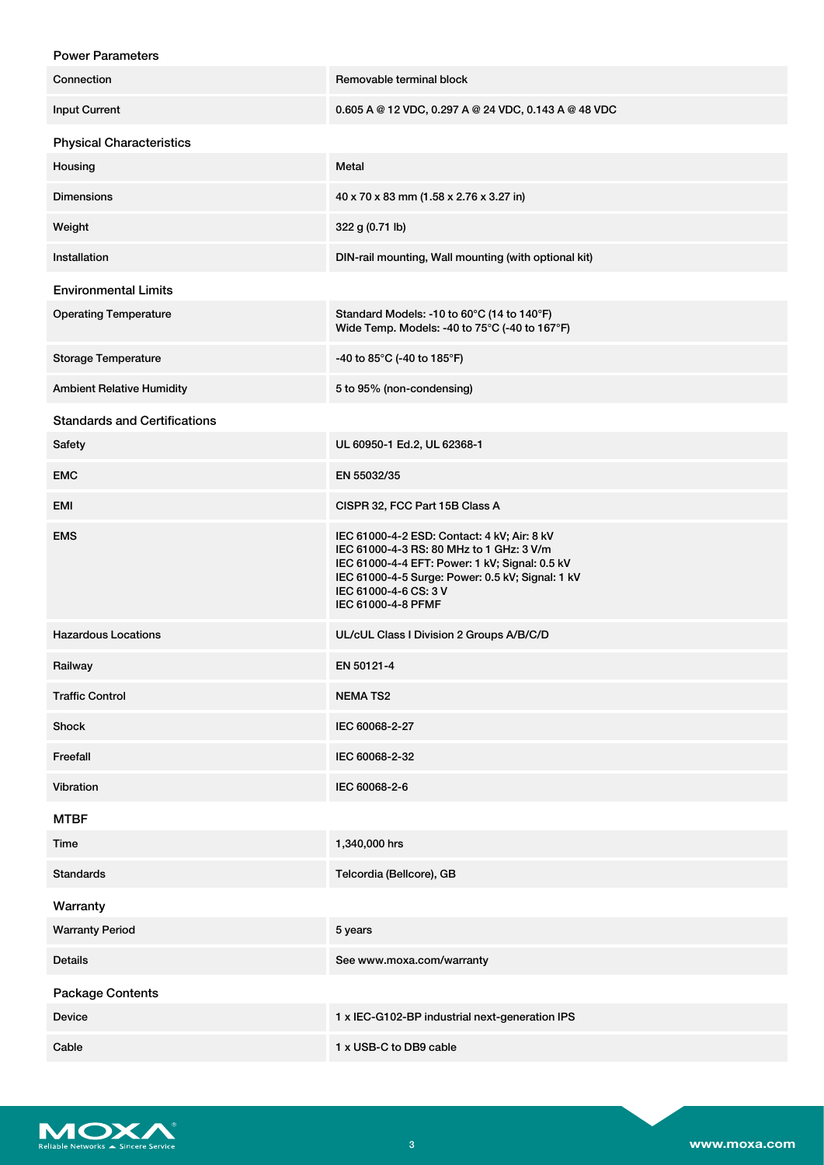| <b>Power Parameters</b>             |                                                                                                                                                                                                                                              |  |
|-------------------------------------|----------------------------------------------------------------------------------------------------------------------------------------------------------------------------------------------------------------------------------------------|--|
| Connection                          | Removable terminal block                                                                                                                                                                                                                     |  |
| <b>Input Current</b>                | 0.605 A @ 12 VDC, 0.297 A @ 24 VDC, 0.143 A @ 48 VDC                                                                                                                                                                                         |  |
| <b>Physical Characteristics</b>     |                                                                                                                                                                                                                                              |  |
| Housing                             | Metal                                                                                                                                                                                                                                        |  |
| <b>Dimensions</b>                   | 40 x 70 x 83 mm (1.58 x 2.76 x 3.27 in)                                                                                                                                                                                                      |  |
| Weight                              | 322 g (0.71 lb)                                                                                                                                                                                                                              |  |
| Installation                        | DIN-rail mounting, Wall mounting (with optional kit)                                                                                                                                                                                         |  |
| <b>Environmental Limits</b>         |                                                                                                                                                                                                                                              |  |
| <b>Operating Temperature</b>        | Standard Models: -10 to 60°C (14 to 140°F)<br>Wide Temp. Models: -40 to 75°C (-40 to 167°F)                                                                                                                                                  |  |
| Storage Temperature                 | -40 to 85°C (-40 to 185°F)                                                                                                                                                                                                                   |  |
| <b>Ambient Relative Humidity</b>    | 5 to 95% (non-condensing)                                                                                                                                                                                                                    |  |
| <b>Standards and Certifications</b> |                                                                                                                                                                                                                                              |  |
| Safety                              | UL 60950-1 Ed.2, UL 62368-1                                                                                                                                                                                                                  |  |
| <b>EMC</b>                          | EN 55032/35                                                                                                                                                                                                                                  |  |
| EMI                                 | CISPR 32, FCC Part 15B Class A                                                                                                                                                                                                               |  |
| <b>EMS</b>                          | IEC 61000-4-2 ESD: Contact: 4 kV; Air: 8 kV<br>IEC 61000-4-3 RS: 80 MHz to 1 GHz: 3 V/m<br>IEC 61000-4-4 EFT: Power: 1 kV; Signal: 0.5 kV<br>IEC 61000-4-5 Surge: Power: 0.5 kV; Signal: 1 kV<br>IEC 61000-4-6 CS: 3 V<br>IEC 61000-4-8 PFMF |  |
| <b>Hazardous Locations</b>          | UL/cUL Class I Division 2 Groups A/B/C/D                                                                                                                                                                                                     |  |
| Railway                             | EN 50121-4                                                                                                                                                                                                                                   |  |
| <b>Traffic Control</b>              | <b>NEMATS2</b>                                                                                                                                                                                                                               |  |
| Shock                               | IEC 60068-2-27                                                                                                                                                                                                                               |  |
| Freefall                            | IEC 60068-2-32                                                                                                                                                                                                                               |  |
| Vibration                           | IEC 60068-2-6                                                                                                                                                                                                                                |  |
| <b>MTBF</b>                         |                                                                                                                                                                                                                                              |  |
| Time                                | 1,340,000 hrs                                                                                                                                                                                                                                |  |
| <b>Standards</b>                    | Telcordia (Bellcore), GB                                                                                                                                                                                                                     |  |
| Warranty                            |                                                                                                                                                                                                                                              |  |
| <b>Warranty Period</b>              | 5 years                                                                                                                                                                                                                                      |  |
| Details                             | See www.moxa.com/warranty                                                                                                                                                                                                                    |  |
| <b>Package Contents</b>             |                                                                                                                                                                                                                                              |  |
| <b>Device</b>                       | 1 x IEC-G102-BP industrial next-generation IPS                                                                                                                                                                                               |  |
| Cable                               | 1 x USB-C to DB9 cable                                                                                                                                                                                                                       |  |

Reliable Networks A Sincere Service